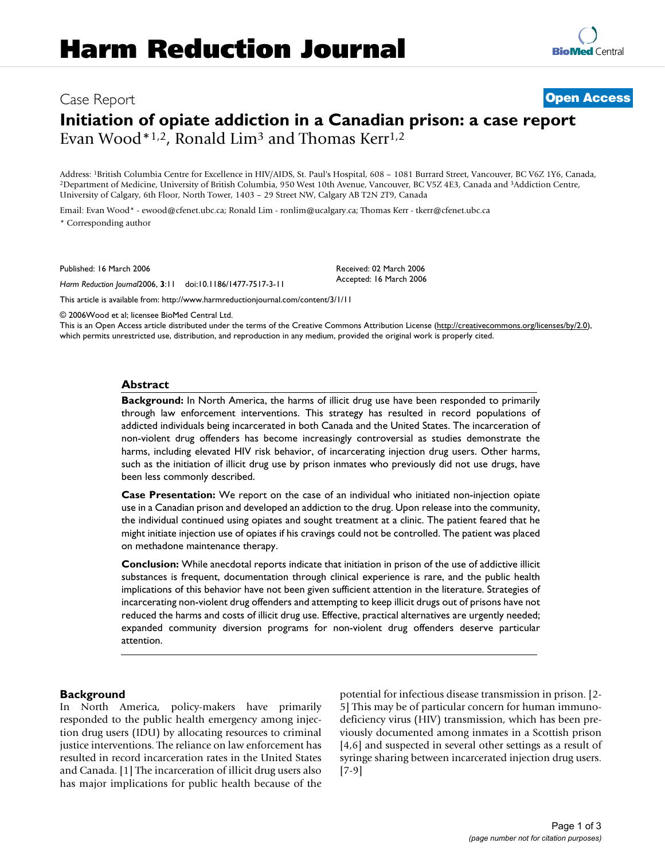# Case Report **[Open Access](http://www.biomedcentral.com/info/about/charter/) Initiation of opiate addiction in a Canadian prison: a case report**

Evan Wood\*1,2, Ronald Lim<sup>3</sup> and Thomas Kerr<sup>1,2</sup>

Address: <sup>1</sup>British Columbia Centre for Excellence in HIV/AIDS, St. Paul's Hospital, 608 - 1081 Burrard Street, Vancouver, BC V6Z 1Y6, Canada, <sup>2</sup>Department of Medicine, University of British Columbia, 950 West 10th Avenue University of Calgary, 6th Floor, North Tower, 1403 – 29 Street NW, Calgary AB T2N 2T9, Canada

Email: Evan Wood\* - ewood@cfenet.ubc.ca; Ronald Lim - ronlim@ucalgary.ca; Thomas Kerr - tkerr@cfenet.ubc.ca \* Corresponding author

Published: 16 March 2006

*Harm Reduction Journal*2006, **3**:11 doi:10.1186/1477-7517-3-11

[This article is available from: http://www.harmreductionjournal.com/content/3/1/11](http://www.harmreductionjournal.com/content/3/1/11)

© 2006Wood et al; licensee BioMed Central Ltd.

This is an Open Access article distributed under the terms of the Creative Commons Attribution License [\(http://creativecommons.org/licenses/by/2.0\)](http://creativecommons.org/licenses/by/2.0), which permits unrestricted use, distribution, and reproduction in any medium, provided the original work is properly cited.

Received: 02 March 2006 Accepted: 16 March 2006

## **Abstract**

**Background:** In North America, the harms of illicit drug use have been responded to primarily through law enforcement interventions. This strategy has resulted in record populations of addicted individuals being incarcerated in both Canada and the United States. The incarceration of non-violent drug offenders has become increasingly controversial as studies demonstrate the harms, including elevated HIV risk behavior, of incarcerating injection drug users. Other harms, such as the initiation of illicit drug use by prison inmates who previously did not use drugs, have been less commonly described.

**Case Presentation:** We report on the case of an individual who initiated non-injection opiate use in a Canadian prison and developed an addiction to the drug. Upon release into the community, the individual continued using opiates and sought treatment at a clinic. The patient feared that he might initiate injection use of opiates if his cravings could not be controlled. The patient was placed on methadone maintenance therapy.

**Conclusion:** While anecdotal reports indicate that initiation in prison of the use of addictive illicit substances is frequent, documentation through clinical experience is rare, and the public health implications of this behavior have not been given sufficient attention in the literature. Strategies of incarcerating non-violent drug offenders and attempting to keep illicit drugs out of prisons have not reduced the harms and costs of illicit drug use. Effective, practical alternatives are urgently needed; expanded community diversion programs for non-violent drug offenders deserve particular attention.

## **Background**

In North America, policy-makers have primarily responded to the public health emergency among injection drug users (IDU) by allocating resources to criminal justice interventions. The reliance on law enforcement has resulted in record incarceration rates in the United States and Canada. [1] The incarceration of illicit drug users also has major implications for public health because of the potential for infectious disease transmission in prison. [2- 5] This may be of particular concern for human immunodeficiency virus (HIV) transmission, which has been previously documented among inmates in a Scottish prison [4,6] and suspected in several other settings as a result of syringe sharing between incarcerated injection drug users. [7-9]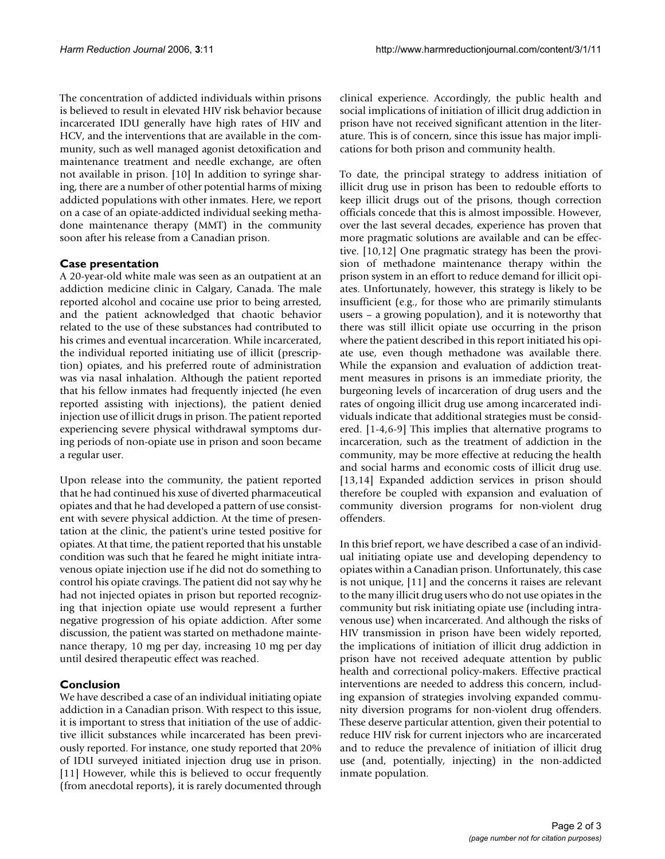The concentration of addicted individuals within prisons is believed to result in elevated HIV risk behavior because incarcerated IDU generally have high rates of HIV and HCV, and the interventions that are available in the community, such as well managed agonist detoxification and maintenance treatment and needle exchange, are often not available in prison. [10] In addition to syringe sharing, there are a number of other potential harms of mixing addicted populations with other inmates. Here, we report on a case of an opiate-addicted individual seeking methadone maintenance therapy (MMT) in the community soon after his release from a Canadian prison.

## **Case presentation**

A 20-year-old white male was seen as an outpatient at an addiction medicine clinic in Calgary, Canada. The male reported alcohol and cocaine use prior to being arrested, and the patient acknowledged that chaotic behavior related to the use of these substances had contributed to his crimes and eventual incarceration. While incarcerated, the individual reported initiating use of illicit (prescription) opiates, and his preferred route of administration was via nasal inhalation. Although the patient reported that his fellow inmates had frequently injected (he even reported assisting with injections), the patient denied injection use of illicit drugs in prison. The patient reported experiencing severe physical withdrawal symptoms during periods of non-opiate use in prison and soon became a regular user.

Upon release into the community, the patient reported that he had continued his xuse of diverted pharmaceutical opiates and that he had developed a pattern of use consistent with severe physical addiction. At the time of presentation at the clinic, the patient's urine tested positive for opiates. At that time, the patient reported that his unstable condition was such that he feared he might initiate intravenous opiate injection use if he did not do something to control his opiate cravings. The patient did not say why he had not injected opiates in prison but reported recognizing that injection opiate use would represent a further negative progression of his opiate addiction. After some discussion, the patient was started on methadone maintenance therapy, 10 mg per day, increasing 10 mg per day until desired therapeutic effect was reached.

## **Conclusion**

We have described a case of an individual initiating opiate addiction in a Canadian prison. With respect to this issue, it is important to stress that initiation of the use of addictive illicit substances while incarcerated has been previously reported. For instance, one study reported that 20% of IDU surveyed initiated injection drug use in prison. [11] However, while this is believed to occur frequently (from anecdotal reports), it is rarely documented through

clinical experience. Accordingly, the public health and social implications of initiation of illicit drug addiction in prison have not received significant attention in the literature. This is of concern, since this issue has major implications for both prison and community health.

To date, the principal strategy to address initiation of illicit drug use in prison has been to redouble efforts to keep illicit drugs out of the prisons, though correction officials concede that this is almost impossible. However, over the last several decades, experience has proven that more pragmatic solutions are available and can be effective. [10,12] One pragmatic strategy has been the provision of methadone maintenance therapy within the prison system in an effort to reduce demand for illicit opiates. Unfortunately, however, this strategy is likely to be insufficient (e.g., for those who are primarily stimulants users – a growing population), and it is noteworthy that there was still illicit opiate use occurring in the prison where the patient described in this report initiated his opiate use, even though methadone was available there. While the expansion and evaluation of addiction treatment measures in prisons is an immediate priority, the burgeoning levels of incarceration of drug users and the rates of ongoing illicit drug use among incarcerated individuals indicate that additional strategies must be considered. [1-4,6-9] This implies that alternative programs to incarceration, such as the treatment of addiction in the community, may be more effective at reducing the health and social harms and economic costs of illicit drug use. [13,14] Expanded addiction services in prison should therefore be coupled with expansion and evaluation of community diversion programs for non-violent drug offenders.

In this brief report, we have described a case of an individual initiating opiate use and developing dependency to opiates within a Canadian prison. Unfortunately, this case is not unique, [11] and the concerns it raises are relevant to the many illicit drug users who do not use opiates in the community but risk initiating opiate use (including intravenous use) when incarcerated. And although the risks of HIV transmission in prison have been widely reported, the implications of initiation of illicit drug addiction in prison have not received adequate attention by public health and correctional policy-makers. Effective practical interventions are needed to address this concern, including expansion of strategies involving expanded community diversion programs for non-violent drug offenders. These deserve particular attention, given their potential to reduce HIV risk for current injectors who are incarcerated and to reduce the prevalence of initiation of illicit drug use (and, potentially, injecting) in the non-addicted inmate population.